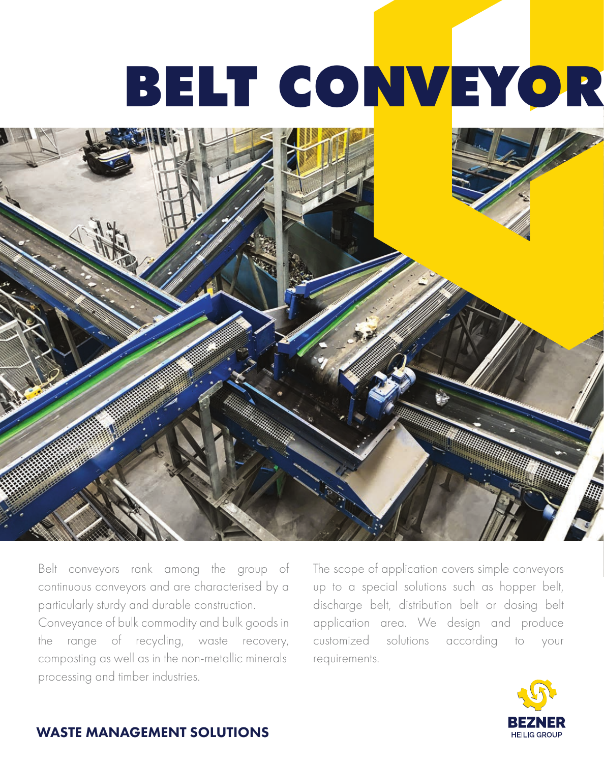## BELT CONVEYOR



Belt conveyors rank among the group of continuous conveyors and are characterised by a particularly sturdy and durable construction.

Conveyance of bulk commodity and bulk goods in the range of recycling, waste recovery, composting as well as in the non-metallic minerals processing and timber industries.

The scope of application covers simple conveyors up to a special solutions such as hopper belt, discharge belt, distribution belt or dosing belt application area. We design and produce customized solutions according to your requirements.



## WASTE MANAGEMENT SOLUTIONS